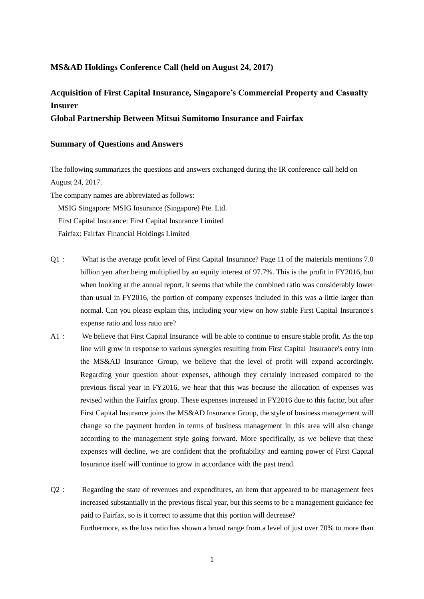## **MS&AD Holdings Conference Call (held on August 24, 2017)**

## **Acquisition of First Capital Insurance, Singapore's Commercial Property and Casualty Insurer**

## **Global Partnership Between Mitsui Sumitomo Insurance and Fairfax**

## **Summary of Questions and Answers**

The following summarizes the questions and answers exchanged during the IR conference call held on August 24, 2017.

The company names are abbreviated as follows: MSIG Singapore: MSIG Insurance (Singapore) Pte. Ltd. First Capital Insurance: First Capital Insurance Limited Fairfax: Fairfax Financial Holdings Limited

- Q1: What is the average profit level of First Capital Insurance? Page 11 of the materials mentions 7.0 billion yen after being multiplied by an equity interest of 97.7%. This is the profit in FY2016, but when looking at the annual report, it seems that while the combined ratio was considerably lower than usual in FY2016, the portion of company expenses included in this was a little larger than normal. Can you please explain this, including your view on how stable First Capital Insurance's expense ratio and loss ratio are?
- A1: We believe that First Capital Insurance will be able to continue to ensure stable profit. As the top line will grow in response to various synergies resulting from First Capital Insurance's entry into the MS&AD Insurance Group, we believe that the level of profit will expand accordingly. Regarding your question about expenses, although they certainly increased compared to the previous fiscal year in FY2016, we hear that this was because the allocation of expenses was revised within the Fairfax group. These expenses increased in FY2016 due to this factor, but after First Capital Insurance joins the MS&AD Insurance Group, the style of business management will change so the payment burden in terms of business management in this area will also change according to the management style going forward. More specifically, as we believe that these expenses will decline, we are confident that the profitability and earning power of First Capital Insurance itself will continue to grow in accordance with the past trend.
- Q2: Regarding the state of revenues and expenditures, an item that appeared to be management fees increased substantially in the previous fiscal year, but this seems to be a management guidance fee paid to Fairfax, so is it correct to assume that this portion will decrease? Furthermore, as the loss ratio has shown a broad range from a level of just over 70% to more than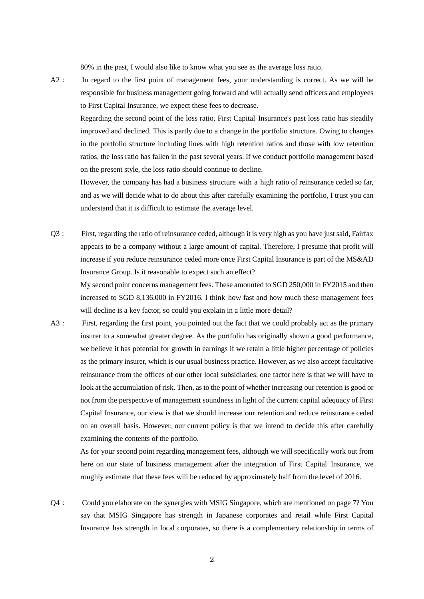80% in the past, I would also like to know what you see as the average loss ratio.

A2: In regard to the first point of management fees, your understanding is correct. As we will be responsible for business management going forward and will actually send officers and employees to First Capital Insurance, we expect these fees to decrease.

 Regarding the second point of the loss ratio, First Capital Insurance's past loss ratio has steadily improved and declined. This is partly due to a change in the portfolio structure. Owing to changes in the portfolio structure including lines with high retention ratios and those with low retention ratios, the loss ratio has fallen in the past several years. If we conduct portfolio management based on the present style, the loss ratio should continue to decline.

However, the company has had a business structure with a high ratio of reinsurance ceded so far, and as we will decide what to do about this after carefully examining the portfolio, I trust you can understand that it is difficult to estimate the average level.

Q3: First, regarding the ratio of reinsurance ceded, although it is very high as you have just said, Fairfax appears to be a company without a large amount of capital. Therefore, I presume that profit will increase if you reduce reinsurance ceded more once First Capital Insurance is part of the MS&AD Insurance Group. Is it reasonable to expect such an effect?

My second point concerns management fees. These amounted to SGD 250,000 in FY2015 and then increased to SGD 8,136,000 in FY2016. I think how fast and how much these management fees will decline is a key factor, so could you explain in a little more detail?

A3: First, regarding the first point, you pointed out the fact that we could probably act as the primary insurer to a somewhat greater degree. As the portfolio has originally shown a good performance, we believe it has potential for growth in earnings if we retain a little higher percentage of policies as the primary insurer, which is our usual business practice. However, as we also accept facultative reinsurance from the offices of our other local subsidiaries, one factor here is that we will have to look at the accumulation of risk. Then, as to the point of whether increasing our retention is good or not from the perspective of management soundness in light of the current capital adequacy of First Capital Insurance, our view is that we should increase our retention and reduce reinsurance ceded on an overall basis. However, our current policy is that we intend to decide this after carefully examining the contents of the portfolio.

 As for your second point regarding management fees, although we will specifically work out from here on our state of business management after the integration of First Capital Insurance, we roughly estimate that these fees will be reduced by approximately half from the level of 2016.

Q4: Could you elaborate on the synergies with MSIG Singapore, which are mentioned on page 7? You say that MSIG Singapore has strength in Japanese corporates and retail while First Capital Insurance has strength in local corporates, so there is a complementary relationship in terms of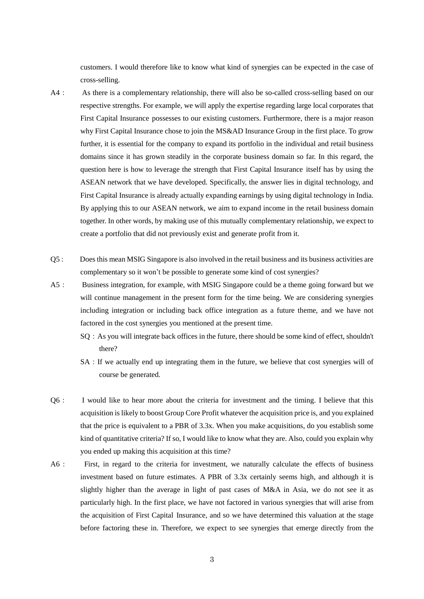customers. I would therefore like to know what kind of synergies can be expected in the case of cross-selling.

- A4: As there is a complementary relationship, there will also be so-called cross-selling based on our respective strengths. For example, we will apply the expertise regarding large local corporates that First Capital Insurance possesses to our existing customers. Furthermore, there is a major reason why First Capital Insurance chose to join the MS&AD Insurance Group in the first place. To grow further, it is essential for the company to expand its portfolio in the individual and retail business domains since it has grown steadily in the corporate business domain so far. In this regard, the question here is how to leverage the strength that First Capital Insurance itself has by using the ASEAN network that we have developed. Specifically, the answer lies in digital technology, and First Capital Insurance is already actually expanding earnings by using digital technology in India. By applying this to our ASEAN network, we aim to expand income in the retail business domain together. In other words, by making use of this mutually complementary relationship, we expect to create a portfolio that did not previously exist and generate profit from it.
- Q5: Does this mean MSIG Singapore is also involved in the retail business and its business activities are complementary so it won't be possible to generate some kind of cost synergies?
- A5: Business integration, for example, with MSIG Singapore could be a theme going forward but we will continue management in the present form for the time being. We are considering synergies including integration or including back office integration as a future theme, and we have not factored in the cost synergies you mentioned at the present time.
	- SQ: As you will integrate back offices in the future, there should be some kind of effect, shouldn't there?
	- SA: If we actually end up integrating them in the future, we believe that cost synergies will of course be generated.
- Q6: I would like to hear more about the criteria for investment and the timing. I believe that this acquisition is likely to boost Group Core Profit whatever the acquisition price is, and you explained that the price is equivalent to a PBR of 3.3x. When you make acquisitions, do you establish some kind of quantitative criteria? If so, I would like to know what they are. Also, could you explain why you ended up making this acquisition at this time?
- A6: First, in regard to the criteria for investment, we naturally calculate the effects of business investment based on future estimates. A PBR of 3.3x certainly seems high, and although it is slightly higher than the average in light of past cases of M&A in Asia, we do not see it as particularly high. In the first place, we have not factored in various synergies that will arise from the acquisition of First Capital Insurance, and so we have determined this valuation at the stage before factoring these in. Therefore, we expect to see synergies that emerge directly from the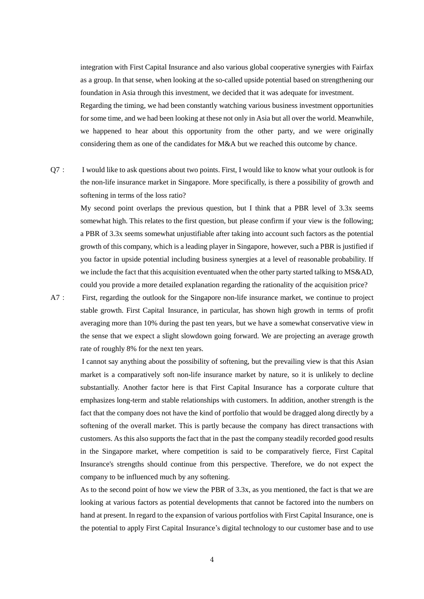integration with First Capital Insurance and also various global cooperative synergies with Fairfax as a group. In that sense, when looking at the so-called upside potential based on strengthening our foundation in Asia through this investment, we decided that it was adequate for investment. Regarding the timing, we had been constantly watching various business investment opportunities for some time, and we had been looking at these not only in Asia but all over the world. Meanwhile, we happened to hear about this opportunity from the other party, and we were originally considering them as one of the candidates for M&A but we reached this outcome by chance.

Q7: I would like to ask questions about two points. First, I would like to know what your outlook is for the non-life insurance market in Singapore. More specifically, is there a possibility of growth and softening in terms of the loss ratio?

My second point overlaps the previous question, but I think that a PBR level of 3.3x seems somewhat high. This relates to the first question, but please confirm if your view is the following; a PBR of 3.3x seems somewhat unjustifiable after taking into account such factors as the potential growth of this company, which is a leading player in Singapore, however, such a PBR is justified if you factor in upside potential including business synergies at a level of reasonable probability. If we include the fact that this acquisition eventuated when the other party started talking to MS&AD, could you provide a more detailed explanation regarding the rationality of the acquisition price?

A7: First, regarding the outlook for the Singapore non-life insurance market, we continue to project stable growth. First Capital Insurance, in particular, has shown high growth in terms of profit averaging more than 10% during the past ten years, but we have a somewhat conservative view in the sense that we expect a slight slowdown going forward. We are projecting an average growth rate of roughly 8% for the next ten years.

 I cannot say anything about the possibility of softening, but the prevailing view is that this Asian market is a comparatively soft non-life insurance market by nature, so it is unlikely to decline substantially. Another factor here is that First Capital Insurance has a corporate culture that emphasizes long-term and stable relationships with customers. In addition, another strength is the fact that the company does not have the kind of portfolio that would be dragged along directly by a softening of the overall market. This is partly because the company has direct transactions with customers. As this also supports the fact that in the past the company steadily recorded good results in the Singapore market, where competition is said to be comparatively fierce, First Capital Insurance's strengths should continue from this perspective. Therefore, we do not expect the company to be influenced much by any softening.

 As to the second point of how we view the PBR of 3.3x, as you mentioned, the fact is that we are looking at various factors as potential developments that cannot be factored into the numbers on hand at present. In regard to the expansion of various portfolios with First Capital Insurance, one is the potential to apply First Capital Insurance's digital technology to our customer base and to use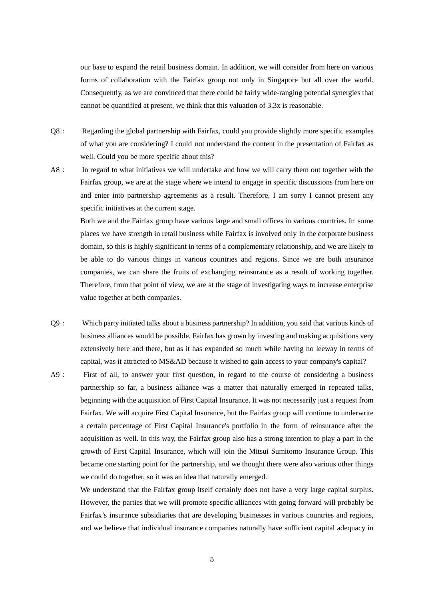our base to expand the retail business domain. In addition, we will consider from here on various forms of collaboration with the Fairfax group not only in Singapore but all over the world. Consequently, as we are convinced that there could be fairly wide-ranging potential synergies that cannot be quantified at present, we think that this valuation of 3.3x is reasonable.

- Q8: Regarding the global partnership with Fairfax, could you provide slightly more specific examples of what you are considering? I could not understand the content in the presentation of Fairfax as well. Could you be more specific about this?
- A8: In regard to what initiatives we will undertake and how we will carry them out together with the Fairfax group, we are at the stage where we intend to engage in specific discussions from here on and enter into partnership agreements as a result. Therefore, I am sorry I cannot present any specific initiatives at the current stage.

Both we and the Fairfax group have various large and small offices in various countries. In some places we have strength in retail business while Fairfax is involved only in the corporate business domain, so this is highly significant in terms of a complementary relationship, and we are likely to be able to do various things in various countries and regions. Since we are both insurance companies, we can share the fruits of exchanging reinsurance as a result of working together. Therefore, from that point of view, we are at the stage of investigating ways to increase enterprise value together at both companies.

- Q9: Which party initiated talks about a business partnership? In addition, you said that various kinds of business alliances would be possible. Fairfax has grown by investing and making acquisitions very extensively here and there, but as it has expanded so much while having no leeway in terms of capital, was it attracted to MS&AD because it wished to gain access to your company's capital?
- A9: First of all, to answer your first question, in regard to the course of considering a business partnership so far, a business alliance was a matter that naturally emerged in repeated talks, beginning with the acquisition of First Capital Insurance. It was not necessarily just a request from Fairfax. We will acquire First Capital Insurance, but the Fairfax group will continue to underwrite a certain percentage of First Capital Insurance's portfolio in the form of reinsurance after the acquisition as well. In this way, the Fairfax group also has a strong intention to play a part in the growth of First Capital Insurance, which will join the Mitsui Sumitomo Insurance Group. This became one starting point for the partnership, and we thought there were also various other things we could do together, so it was an idea that naturally emerged.

 We understand that the Fairfax group itself certainly does not have a very large capital surplus. However, the parties that we will promote specific alliances with going forward will probably be Fairfax's insurance subsidiaries that are developing businesses in various countries and regions, and we believe that individual insurance companies naturally have sufficient capital adequacy in